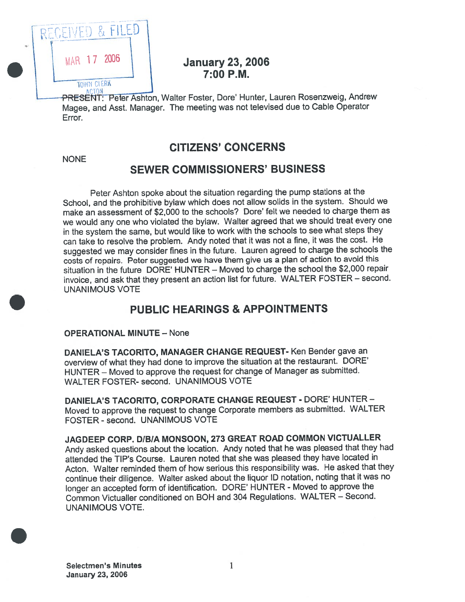

### **January 23, 2006**  $7:00$  P.M.

PRESENT: Peter Ashton, Walter Foster, Dore' Hunter, Lauren Rosenzweig, Andrew Magee, and Asst. Manager. The meeting was not televised due to Cable Operator Error.

### CITIZENS' CONCERNS

NONE

#### SEWER COMMISSIONERS' BUSINESS

Peter Ashton spoke about the situation regarding the pump stations at the School, and the prohibitive bylaw which does not allow solids in the system. Should we make an assessment of \$2,000 to the schools? Dare' felt we needed to charge them as we would any one who violated the bylaw. Walter agree<sup>d</sup> that we should treat every one in the system the same, but would like to work with the schools to see what steps they can take to resolve the problem. Andy noted that it was not <sup>a</sup> fine, it was the cost. He suggested we may consider fines in the future. Lauren agree<sup>d</sup> to charge the schools the costs of repairs. Peter suggested we have them <sup>g</sup>ive us <sup>a</sup> <sup>p</sup>lan of action to avoid this situation in the future DORE' HUNTER — Moved to charge the school the \$2,000 repair invoice, and ask that they presen<sup>t</sup> an action list for future. WALTER FOSTER — second. UNANIMOUS VOTE

### PUBLIC HEARINGS & APPOINTMENTS

#### OPERATIONAL MINUTE — None

DANIELA'S TACORITO, MANAGER CHANGE REQUEST- Ken Bender gave an overview of what they had done to improve the situation at the restaurant. DORE' HUNTER — Moved to approve the reques<sup>t</sup> for change of Manager as submitted. WALTER FOSTER- second. UNANIMOUS VOTE

DANIELA'S TACORITO, CORPORATE CHANGE REQUEST - DORE' HUNTER - Moved to approve the reques<sup>t</sup> to change Corporate members as submitted. WALTER FOSTER - second. UNANIMOUS VOTE

JAGDEEP CORP. DIBIA MONSOON, 273 GREAT ROAD COMMON VICTUALLER Andy asked questions about the location. Andy noted that he was <sup>p</sup>leased that they had attended the TIP's Course. Lauren noted that she was <sup>p</sup>leased they have located in Acton. Walter reminded them of how serious this responsibility was. He asked that they continue their diligence. Walter asked about the liquor ID notation, noting that it was no longer an accepted form of identification. DORE' HUNTER - Moved to approve the Common Victualler conditioned on BOH and <sup>304</sup> Regulations. WALTER — Second. UNANIMOUS VOTE.

Selectmen's Minutes 1 January 23, 2006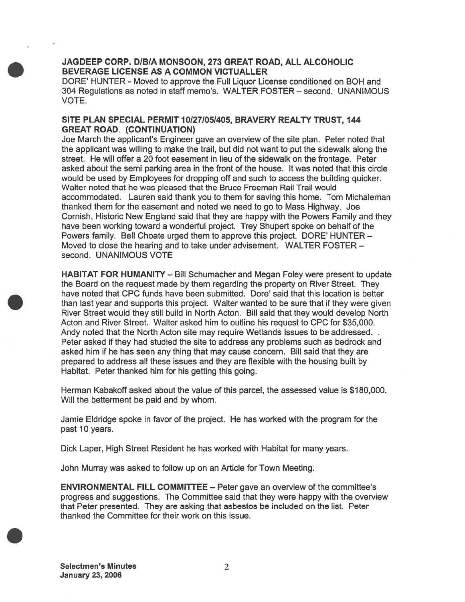#### JAGDEEP CORP. D/E/A MONSOON, 273 GREAT ROAD, ALL ALCOHOLIC BEVERAGE LICENSE AS A COMMON VICTUALLER

DORE' HUNTER - Moved to approve the Full Liquor License conditioned on BOH and 304 Regulations as noted in staff memo's. WALTER FOSTER — second. UNANIMOUS VOTE.

#### SITE PLAN SPECIAL PERMIT 10127/05/405, BRAVERY REALTY TRUST, 144 GREAT ROAD. (CONTINUATION)

Joe March the applicant's Engineer gave an overview of the site plan. Peter noted that the applicant was willing to make the trail, but did not want to pu<sup>t</sup> the sidewalk along the street. He will offer <sup>a</sup> 20 foot easement in lieu of the sidewalk on the frontage. Peter asked about the semi parking area in the front of the house. It was noted that this circle would be used by Employees for dropping off and such to access the building quicker. Walter noted that he was pleased that the Bruce Freeman Rail Trail would accommodated. Lauren said thank you to them for saving this home. Tom Michaleman thanked them for the easement and noted we need to go to Mass Highway. Joe Cornish, Historic New England said that they are happy with the Powers Family and they have been working toward <sup>a</sup> wonderful project. Trey Shupert spoke on behalf of the Powers family. Bell Choate urged them to approve this project. DORE' HUNTER — Moved to close the hearing and to take under advisement. WALTER FOSTER second. UNANIMOUS VOTE

HABITAT FOR HUMANITY — Bill Schumacher and Megan Foley were presen<sup>t</sup> to update the Board on the reques<sup>t</sup> made by them regarding the property on River Street. They have noted that CPC funds have been submitted. Dore' said that this location is better than last year and supports this project. Walter wanted to be sure that if they were given River Street would they still build in North Acton. Bill said that they would develop North Acton and River Street. Walter asked him to outline his reques<sup>t</sup> to CPC for \$35,000. Andy noted that the North Acton site may require Wetlands Issues to be addressed... Peter asked if they had studied the site to address any problems such as bedrock and asked him if he has seen any thing that may cause concern. Bill said that they are prepared to address all these issues and they are flexible with the housing built by Habitat. Peter thanked him for his getting this going.

Herman Kabakoff asked about the value of this parcel, the assessed value is \$180,000. Will the betterment be paid and by whom.

Jamie Eldridge spoke in favor of the project. He has worked with the program for the pas<sup>t</sup> 10 years.

Dick Laper, High Street Resident he has worked with Habitat for many years.

John Murray was asked to follow up on an Article for Town Meeting.

ENVIRONMENTAL FILL COMMITTEE — Peter gave an overview of the committee's progress and suggestions. The Committee said that they were happy with the overview that Peter presented. They are asking that asbestos be included on the list. Peter thanked the Committee for their work on this issue.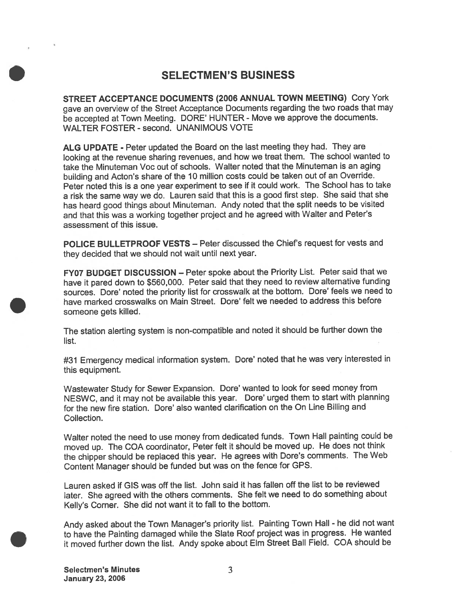#### SELECTMEN'S BUSINESS

STREET ACCEPTANCE DOCUMENTS (2006 ANNUAL TOWN MEETING) Cory York gave an overview of the Street Acceptance Documents regarding the two toads that may be accepted at Town Meeting. DORE' HUNTER - Move we approve the documents. WALTER FOSTER - second. UNANIMOUS VOTE

ALG UPDATE - Peter updated the Board on the last meeting they had. They are looking at the revenue sharing revenues, and how we treat them. The school wanted to take the Minuteman Voc out of schools. Walter noted that the Minuteman is an aging building and Acton's share of the <sup>10</sup> million costs could be taken out of an Override. Peter noted this is <sup>a</sup> one year experiment to see if it could work. The School has to take <sup>a</sup> risk the same way we do. Lauren said that this is <sup>a</sup> goo<sup>d</sup> first step. She said that she has heard goo<sup>d</sup> things about Minuteman. Andy noted that the split needs to be visited and that this was <sup>a</sup> working together project and he agree<sup>d</sup> with Walter and Peter's assessment of this issue.

POLICE BULLETPROOF VESTS — Peter discussed the Chief's reques<sup>t</sup> for vests and they decided that we should not wait until next year.

FY07 BUDGET DISCUSSION — Peter spoke about the Priority List. Peter said that we have it pare<sup>d</sup> down to \$560,000. Peter said that they need to review alternative funding sources. Dore' noted the priority list for crosswalk at the bottom. Dore' feels we need to have marked crosswalks on Main Street. Dore' felt we needed to address this before someone gets killed.

The station alerting system is non-compatible and noted it should be further down the list.

#31 Emergency medical information system. Dore' noted that he was very interested in this equipment.

Wastewater Study for Sewer Expansion. Dote' wanted to look for seed money from NESWC, and it may not be available this year. Dore' urge<sup>d</sup> them to start with <sup>p</sup>lanning for the new fire station. Dore' also wanted clarification on the On Line Billing and Collection.

Walter noted the need to use money from dedicated funds. Town Hall painting could be moved up. The COA coordinator, Peter felt it should be moved up. He does not think the chipper should be replaced this year. He agrees with Dore's comments. The Web Content Manager should be funded but was on the fence for GPS.

Lauren asked if GIS was off the list. John said it has fallen off the list to be reviewed later. She agree<sup>d</sup> with the others comments. She felt we need to do something about Kelly's Corner. She did not want it to fail to the bottom.

Andy asked about the Town Manager's priority list. Painting Town Hall - he did not want to have the Painting damaged while the Slate Roof project was in progress. He wanted it moved further down the list. Andy spoke about Elm Street Ball Field. COA should be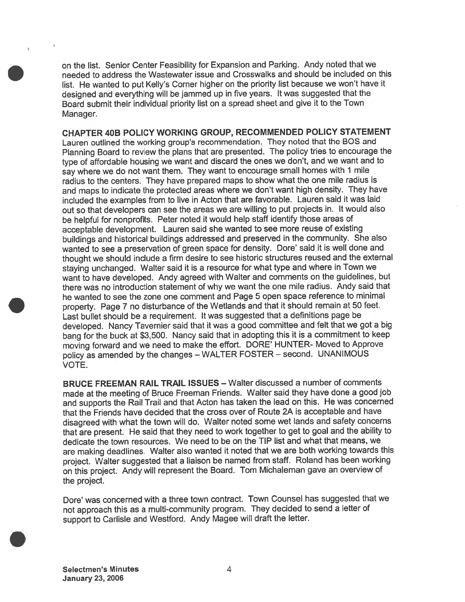on the list. Senior Center Feasibility for Expansion and Parking. Andy noted that we needed to address the Wastewater issue and Crosswalks and should be included on this list. He wanted to pu<sup>t</sup> Kelly's Corner higher on the priority list because we won't have it designed and everything will be jammed up in five years. It was suggested that the Board submit their individual priority list on <sup>a</sup> spread sheet and <sup>g</sup>ive it to the Town Manager.

CHAPTER 40B POLICY WORKING GROUP, RECOMMENDED POLICY STATEMENT Lauren outlined the working group's recommendation. They noted that the BOS and Planning Board to review the <sup>p</sup>lans that are presented. The policy tries to encourage the type of affordable housing we want and discard the ones we don't, and we want and to say where we do not want them. They want to encourage small homes with <sup>1</sup> mile radius to the centers. They have prepare<sup>d</sup> maps to show what the one mile radius is and maps to indicate the protected areas where we don't want high density. They have included the examples from to live in Acton that are favorable. Lauren said it was laid out so that developers can see the areas we are willing to pu<sup>t</sup> projects in. It would also be helpful for nonprofits. Peter noted it would help staff identify those areas of acceptable development. Lauren said she wanted to see more reuse of existing buildings and historical buildings addressed and preserve<sup>d</sup> in the community. She also wanted to see <sup>a</sup> preservation of green space for density. Dore' said it is well done and thought we should include <sup>a</sup> firm desire to see historic structures reused and the external staying unchanged. Walter said it is <sup>a</sup> resource for what type and where in Town we want to have developed. Andy agree<sup>d</sup> with Walter and comments on the guidelines, but there was no introduction statement of why we want the one mile radius. Andy said that he wanted to see the zone one comment and Page 5 open space reference to minimal property. Page <sup>7</sup> no disturbance of the Wetlands and that it should remain at <sup>50</sup> feet. Last bullet should be <sup>a</sup> requirement. It was suggested that <sup>a</sup> definitions page be developed. Nancy Tavernier said that it was <sup>a</sup> goo<sup>d</sup> committee and felt that we go<sup>t</sup> <sup>a</sup> big bang for the buck at \$3,500. Nancy said that in adopting this it is <sup>a</sup> commitment to keep moving forward and we need to make the effort. DORE' HUNTER- Moved to Approve policy as amended by the changes — WALTER FOSTER — second. UNANIMOUS VOTE.

BRUCE FREEMAN RAIL TRAiL ISSUES — Walter discussed <sup>a</sup> number of comments made at the meeting of Bruce Freeman Friends. Walter said they have done <sup>a</sup> goo<sup>d</sup> job and supports the Rail Trail and that Acton has taken the lead on this. He was concerned that the Friends have decided that the cross over of Route 2A is acceptable and have disagreed with what the town will do. Walter noted some wet lands and safety concerns that are present. He said that they need to work together to ge<sup>t</sup> to goa<sup>l</sup> and the ability to dedicate the town resources. We need to be on the TIP list and what that means, we are making deadlines. Walter also wanted it noted that we are both working towards this project. Walter suggested that <sup>a</sup> liaison be named from staff. Roland has been working on this project. Andy will represen<sup>t</sup> the Board. Tom Michaleman gave an overview of the project.

Dore' was concerned with <sup>a</sup> three town contract. Town Counsel has suggested that we not approac<sup>h</sup> this as <sup>a</sup> multi-community program. They decided to send <sup>a</sup> letter of suppor<sup>t</sup> to Carlisle and Wesiford. Andy Magee will draft the letter.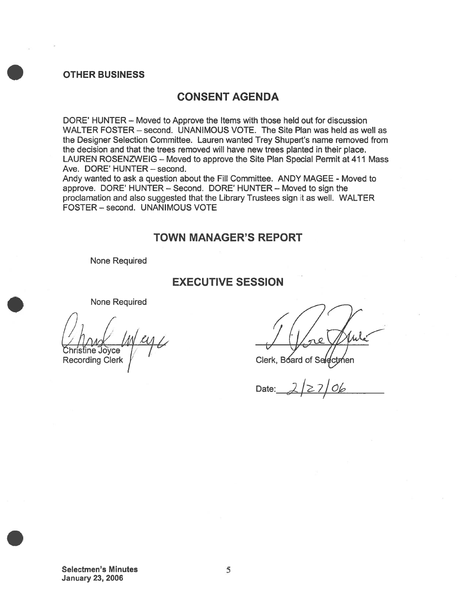#### OTHER BUSINESS

### CONSENT AGENDA

DORE' HUNTER — Moved to Approve the Items with those held out for discussion WALTER FOSTER — second. UNANIMOUS VOTE. The Site Plan was held as well as the Designer Selection Committee. Lauren wanted Trey Shupert's name removed from the decision and that the trees removed will have new trees planted in their place. LAUREN ROSENZWEIG — Moved to approve the Site Plan Special Permit at 411 Mass Ave. DORE' HUNTER — second.

Andy wanted to ask <sup>a</sup> question about the Fill Committee. ANDY MAGEE - Moved to approve. DORE' HUNTER — Second. DORE' HUNTER — Moved to sign the proclamation and also suggested that the Library Trustees sign it as well. WALTER FOSTER — second. UNANIMOUS VOTE

#### TOWN MANAGER'S REPORT

None Required

#### EXECUTIVE SESSION

None Required

ine Joyce Recording Clerk

Clerk, Board of

Date: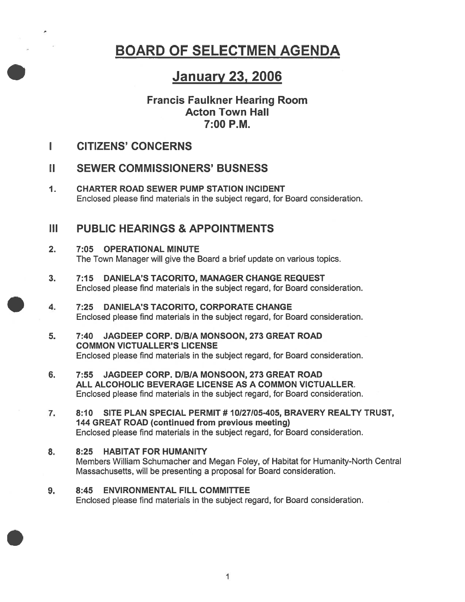# BOARD OF SELECTMEN AGENDA

# January 23, 2006

### Francis Faulkner Hearing Room Acton Town Hall 7:00 P.M.

L CITIZENS' CONCERNS

## II SEWER COMMISSIONERS' BUSNESS

1. CHARTER ROAD SEWER PUMP STATION INCIDENT Enclosed please find materials in the subject regard, for Board consideration.

## III PUBLIC HEARINGS & APPOINTMENTS

- 2. 7:05 OPERATIONAL MINUTE The Town Manager will give the Board <sup>a</sup> brief update on various topics.
- 3. 7:15 DANIELA'S TACORITO, MANAGER CHANGE REQUEST Enclosed please find materials in the subject regard, for Board consideration.
- 4. 7:25 DANIELA'S TACORITO, CORPORATE CHANGE Enclosed please find materials in the subject regard, for Board consideration.
- 5. 7:40 JAGDEEP CORP. D/B/A MONSOON, 273 GREAT ROAD COMMON VICTUALLER'S LICENSE Enclosed please find materials in the subject regard, for Board consideration.
- 6. 7:55 JAGDEEP CORP. DIBIA MONSOON, 273 GREAT ROAD ALL ALCOHOLIC BEVERAGE LICENSE AS A COMMON VICTUALLER. Enclosed please find materials in the subject regard, for Board consideration.
- 7. 8:10 SITE PLAN SPECIAL PERMIT # 10/27105-405, BRAVERY REALTY TRUST, 144 GREAT ROAD (continued from previous meeting) Enclosed please find materials in the subject regard, for Board consideration.
- 8. 8:25 HABITAT FOR HUMANITY Members William Schumacher and Megan Foley, of Habitat for Humanity-North Central Massachusetts, will be presenting <sup>a</sup> proposal for Board consideration.
- 9. 8:45 ENVIRONMENTAL FILL COMMITTEE Enclosed please find materials in the subject regard, for Board consideration.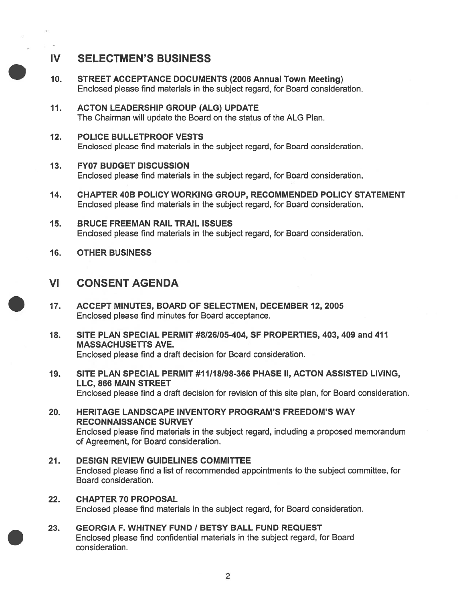# IV SELECTMEN'S BUSINESS

- 10. STREET ACCEPTANCE DOCUMENTS (2006 Annual Town Meeting) Enclosed please find materials in the subject regard, for Board consideration.
- 11. ACTON LEADERSHIP GROUP (ALG) UPDATE The Chairman will update the Board on the status of the ALG Plan.
- 12. POLICE BULLETPROOF VESTS Enclosed please find materials in the subject regard, for Board consideration.

### 13. FY07 BUDGET DISCUSSION

Enclosed please find materials in the subject regard, for Board consideration.

- 14. CHAPTER 40B POLICY WORKING GROUP, RECOMMENDED POLICY STATEMENT Enclosed please find materials in the subject regard, for Board consideration.
- 15. BRUCE FREEMAN RAIL TRAIL ISSUES Enclosed please find materials in the subject regard, for Board consideration.
- 16. OTHER BUSINESS

### VI CONSENT AGENDA

- 17. ACCEPT MINUTES, BOARD OF SELECTMEN, DECEMBER 12, 2005 Enclosed please find minutes for Board acceptance.
- 18. SITE PLAN SPECIAL PERMIT #8126105-404, SF PROPERTIES, 403, 409 and 471 MASSACHUSETTS AVE. Enclosed please find <sup>a</sup> draft decision for Board consideration.
- 19. SITE PLAN SPECIAL PERMIT #11I18I98-366 PHASE II, ACTON ASSISTED LIVING, LLC, 866 MAIN STREET Enclosed please find <sup>a</sup> draft decision for revision of this site plan, for Board consideration.
- 20. HERITAGE LANDSCAPE INVENTORY PROGRAM'S FREEDOM'S WAY RECONNAISSANCE SURVEY Enclosed please find materials in the subject regard, including <sup>a</sup> proposed memorandum of Agreement, for Board consideration.
- 21. DESIGN REVIEW GUIDELINES COMMITTEE Enclosed please find <sup>a</sup> list of recommended appointments to the subject committee, for Board consideration.
- 22. CHAPTER 70 PROPOSAL Enclosed please find materials in the subject regard, for Board consideration.
- 23. GEORGIA F. WHITNEY FUND / BETSY BALL FUND REQUEST Enclosed please find confidential materials in the subject regard, for Board consideration.